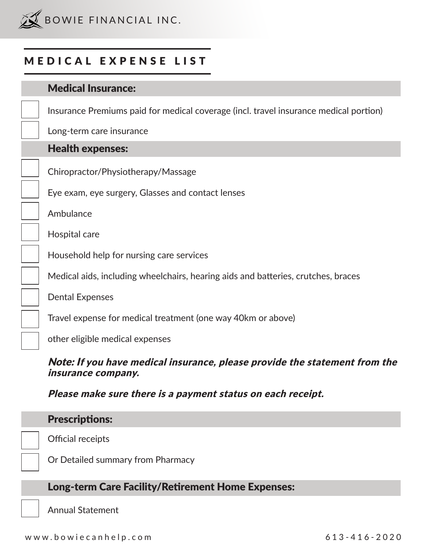

## MEDICAL EXPENSE LIST

| <b>Medical Insurance:</b>                                                             |
|---------------------------------------------------------------------------------------|
| Insurance Premiums paid for medical coverage (incl. travel insurance medical portion) |
| Long-term care insurance                                                              |
| <b>Health expenses:</b>                                                               |
| Chiropractor/Physiotherapy/Massage                                                    |
| Eye exam, eye surgery, Glasses and contact lenses                                     |
| Ambulance                                                                             |
| Hospital care                                                                         |
| Household help for nursing care services                                              |
| Medical aids, including wheelchairs, hearing aids and batteries, crutches, braces     |
| <b>Dental Expenses</b>                                                                |
| Travel expense for medical treatment (one way 40km or above)                          |
| other eligible medical expenses                                                       |

## Note: If you have medical insurance, please provide the statement from the insurance company.

Please make sure there is a payment status on each receipt.

| <b>Prescriptions:</b>                                    |
|----------------------------------------------------------|
| Official receipts                                        |
| Or Detailed summary from Pharmacy                        |
| <b>Long-term Care Facility/Retirement Home Expenses:</b> |

Annual Statement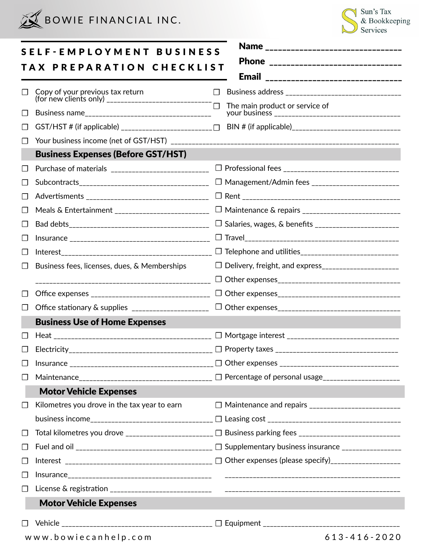



|    | <b>SELF-EMPLOYMENT BUSINESS</b>                    | Name _________________________________                                                          |
|----|----------------------------------------------------|-------------------------------------------------------------------------------------------------|
|    | TAX PREPARATION CHECKLIST                          | Phone _______________________________                                                           |
|    |                                                    | <b>Email</b><br>--------------------------------                                                |
|    |                                                    |                                                                                                 |
| ΙI |                                                    | The main product or service of                                                                  |
| ΙI |                                                    |                                                                                                 |
|    |                                                    |                                                                                                 |
|    | <b>Business Expenses (Before GST/HST)</b>          |                                                                                                 |
| ⊔  |                                                    |                                                                                                 |
|    |                                                    | □ Management/Admin fees _________________________                                               |
|    |                                                    |                                                                                                 |
| ⊔  | Meals & Entertainment ____________________________ |                                                                                                 |
|    |                                                    | □ Salaries, wages, & benefits ________________________                                          |
|    |                                                    |                                                                                                 |
| ΙI |                                                    |                                                                                                 |
|    | Business fees, licenses, dues, & Memberships       | □ Delivery, freight, and express______________________                                          |
|    |                                                    |                                                                                                 |
|    |                                                    |                                                                                                 |
|    | Office stationary & supplies _____________________ |                                                                                                 |
|    | <b>Business Use of Home Expenses</b>               |                                                                                                 |
|    |                                                    |                                                                                                 |
|    | Electricity_<br>__________________________________ | $\Box$ Property taxes                                                                           |
|    |                                                    |                                                                                                 |
|    |                                                    | Maintenance________________________________ □ Percentage of personal usage_____________________ |
|    | <b>Motor Vehicle Expenses</b>                      |                                                                                                 |
|    | Kilometres you drove in the tax year to earn       |                                                                                                 |
|    |                                                    |                                                                                                 |
|    |                                                    |                                                                                                 |
| ப  |                                                    |                                                                                                 |
|    |                                                    |                                                                                                 |
|    |                                                    |                                                                                                 |
|    |                                                    |                                                                                                 |
|    | <b>Motor Vehicle Expenses</b>                      |                                                                                                 |
|    |                                                    |                                                                                                 |
|    | www.bowiecanhelp.com                               | 613-416-2020                                                                                    |